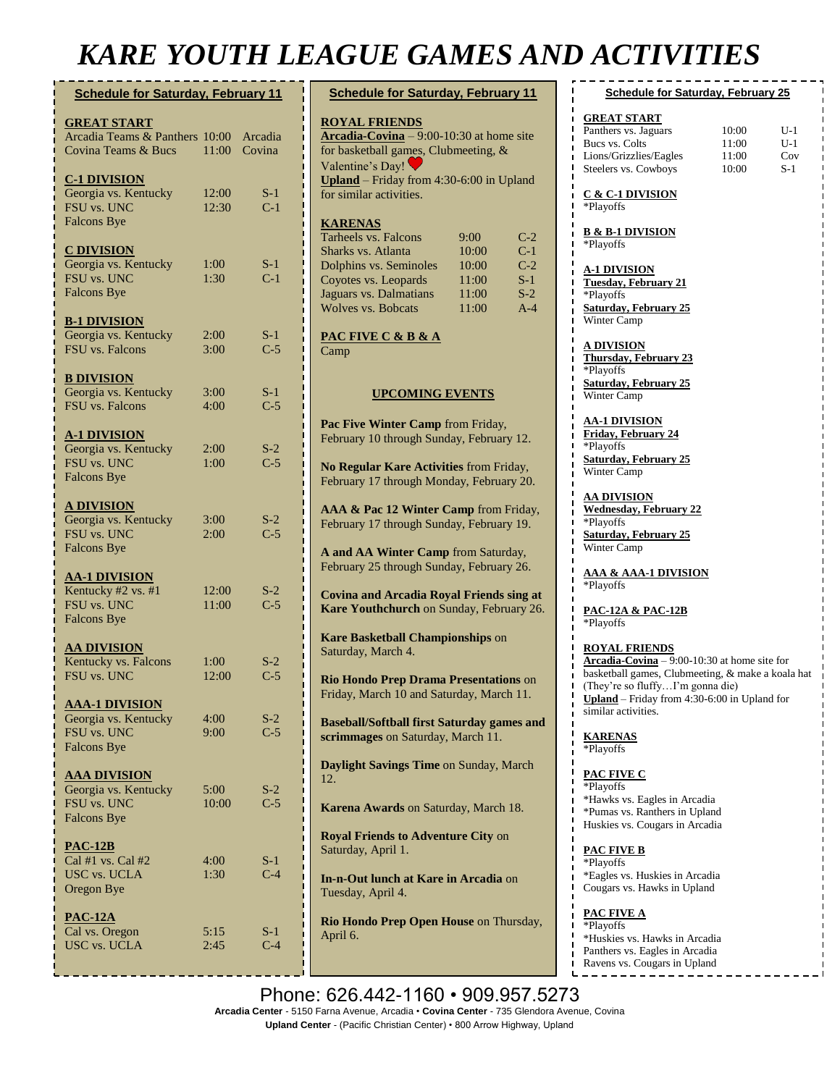# *KARE YOUTH LEAGUE GAMES AND ACTIVITIES*

| <b>Schedule for Saturday, February 11</b>                                               |                    |                | <b>Schedule</b>                                                                             |
|-----------------------------------------------------------------------------------------|--------------------|----------------|---------------------------------------------------------------------------------------------|
| <b>GREAT START</b><br>Arcadia Teams & Panthers 10:00 Arcadia<br>Covina Teams & Bucs     | 11:00              | Covina         | <b>ROYAL FE</b><br>Arcadia-Co<br>for basketba<br>Valentine's                                |
| <b>C-1 DIVISION</b><br>Georgia vs. Kentucky<br>FSU vs. UNC<br><b>Falcons Bye</b>        | 12:00<br>12:30     | $S-1$<br>$C-1$ | $Unland - Fi$<br>for similar a<br><b>KARENAS</b>                                            |
| <b>C DIVISION</b><br>Georgia vs. Kentucky<br>FSU vs. UNC<br><b>Falcons Bye</b>          | 1:00<br>1:30       | $S-1$<br>$C-1$ | Tarheels vs.<br>Sharks vs. A<br>Dolphins vs<br>Coyotes vs.<br>Jaguars vs. I<br>Wolves vs. 1 |
| <b>B-1 DIVISION</b><br>Georgia vs. Kentucky<br><b>FSU</b> vs. Falcons                   | 2:00<br>3:00       | $S-1$<br>$C-5$ | <b>PAC FIVE</b><br>Camp                                                                     |
| <b>B DIVISION</b><br>Georgia vs. Kentucky<br><b>FSU</b> vs. Falcons                     | 3:00<br>4:00       | $S-1$<br>$C-5$ | $\bf U$                                                                                     |
| <u>A-1 DIVISION</u><br>Georgia vs. Kentucky<br><b>FSU vs. UNC</b><br><b>Falcons Bye</b> | 2:00<br>1:00       | $S-2$<br>$C-5$ | Pac Five W<br>February 10<br><b>No Regular</b><br>February 17                               |
| <u>A DIVISION</u><br>Georgia vs. Kentucky<br>FSU vs. UNC<br><b>Falcons Bye</b>          | 3:00<br>2:00       | $S-2$<br>$C-5$ | AAA & Pac<br>February 17<br>A and AA V                                                      |
| <b>AA-1 DIVISION</b><br>Kentucky #2 vs. #1<br><b>FSU vs. UNC</b><br><b>Falcons Bye</b>  | 12:00<br>11:00     | $S-2$<br>$C-5$ | February 25<br><b>Covina and</b><br><b>Kare Youth</b>                                       |
| <b>AA DIVISION</b><br>Kentucky vs. Falcons<br>FSU vs. UNC                               | 1:00<br>12:00      | $S-2$<br>$C-5$ | <b>Kare Baske</b><br>Saturday, M<br><b>Rio Hondo</b><br>Friday, Mar                         |
| <b>AAA-1 DIVISION</b><br>Georgia vs. Kentucky<br>FSU vs. UNC<br><b>Falcons Bye</b>      | 4:00<br>9:00       | $S-2$<br>$C-5$ | <b>Baseball/So</b><br>scrimmages                                                            |
| <b>AAA DIVISION</b><br>Georgia vs. Kentucky<br>FSU vs. UNC<br><b>Falcons Bye</b>        | 5:00<br>10:00      | $S-2$<br>$C-5$ | <b>Daylight Sa</b><br>12.<br><b>Karena Aw</b>                                               |
| <b>PAC-12B</b><br>Cal #1 vs. Cal #2<br>USC vs. UCLA<br>Oregon Bye                       | $4:00^{-}$<br>1:30 | $S-1$<br>$C-4$ | <b>Royal Frien</b><br>Saturday, A<br>In-n-Out lu<br>Tuesday, Ap                             |
| $PAC-12A$<br>Cal vs. Oregon<br><b>USC</b> vs. UCLA                                      | 5:15<br>2:45       | S-1<br>$C-4$   | <b>Rio Hondo</b><br>April 6.                                                                |

| <b>Schedule for Saturday, February 11</b>                                           |            |       | Schedule f                              |  |
|-------------------------------------------------------------------------------------|------------|-------|-----------------------------------------|--|
| <u>ROYAL FRIENDS</u>                                                                |            |       | <b>GREAT START</b>                      |  |
| $\textbf{Arcadia-Covina} - 9:00 - 10:30$ at home site                               |            |       | Panthers vs. Jagua                      |  |
| for basketball games, Clubmeeting, &                                                |            |       | Bucs vs. Colts                          |  |
| Valentine's Day!                                                                    |            |       | Lions/Grizzlies/E<br>Steelers vs. Cowb  |  |
| <b>Upland</b> – Friday from $4:30-6:00$ in Upland                                   |            |       |                                         |  |
| for similar activities.                                                             |            |       | <u>C &amp; C-1 DIVISI</u><br>*Playoffs  |  |
| <u> KARENAS</u>                                                                     |            |       |                                         |  |
| Tarheels vs. Falcons                                                                | $9:00^{-}$ | $C-2$ | <b>B &amp; B-1 DIVISIO</b><br>*Playoffs |  |
| Sharks vs. Atlanta                                                                  | 10:00      | $C-1$ |                                         |  |
| Dolphins vs. Seminoles                                                              | 10:00      | $C-2$ | <b>A-1 DIVISION</b>                     |  |
| Coyotes vs. Leopards                                                                | 11:00      | $S-1$ | Tuesday, Februa                         |  |
| Jaguars vs. Dalmatians                                                              | 11:00      | $S-2$ | *Playoffs                               |  |
| <b>Wolves vs. Bobcats</b>                                                           | 11:00      | $A-4$ | Saturday, Febru                         |  |
| PAC FIVE C & B & A                                                                  |            |       | Winter Camp                             |  |
| Camp                                                                                |            |       | A DIVISION                              |  |
|                                                                                     |            |       | <b>Thursday</b> , Febru                 |  |
|                                                                                     |            |       | *Playoffs<br>Saturday, Febru            |  |
| <b>UPCOMING EVENTS</b>                                                              |            |       | Winter Camp                             |  |
|                                                                                     |            |       |                                         |  |
| Pac Five Winter Camp from Friday,                                                   |            |       | <b>AA-1 DIVISION</b>                    |  |
| February 10 through Sunday, February 12.                                            |            |       | <b>Friday, February</b><br>*Playoffs    |  |
|                                                                                     |            |       | <b>Saturday, Februa</b>                 |  |
| No Regular Kare Activities from Friday,<br>February 17 through Monday, February 20. |            |       | Winter Camp                             |  |
|                                                                                     |            |       | AA DIVISION                             |  |
| AAA & Pac 12 Winter Camp from Friday,                                               |            |       | <b>Wednesday</b> , Feb<br>*Playoffs     |  |
| February 17 through Sunday, February 19.                                            |            |       | <b>Saturday</b> , Febru                 |  |
|                                                                                     |            |       | Winter Camp                             |  |
| A and AA Winter Camp from Saturday,<br>February 25 through Sunday, February 26.     |            |       |                                         |  |
|                                                                                     |            |       | <u>AAA &amp; AAA-1 I</u>                |  |
| <b>Covina and Arcadia Royal Friends sing at</b>                                     |            |       | *Playoffs                               |  |
| Kare Youthchurch on Sunday, February 26.                                            |            |       | <b>PAC-12A &amp; PAC</b>                |  |
|                                                                                     |            |       | *Playoffs                               |  |
| <b>Kare Basketball Championships on</b>                                             |            |       |                                         |  |
| Saturday, March 4.                                                                  |            |       | <b>ROYAL FRIEN</b>                      |  |
|                                                                                     |            |       | Arcadia-Covina<br>basketball games,     |  |
| <b>Rio Hondo Prep Drama Presentations on</b>                                        |            |       | (They're so fluffy                      |  |
| Friday, March 10 and Saturday, March 11.                                            |            |       | <b>Upland</b> – Friday                  |  |
|                                                                                     |            |       | п<br>similar activities.                |  |
| <b>Baseball/Softball first Saturday games and</b>                                   |            |       |                                         |  |
| scrimmages on Saturday, March 11.                                                   |            |       | <b>KARENAS</b>                          |  |
| Daylight Savings Time on Sunday, March                                              |            |       | *Playoffs                               |  |
| 12.                                                                                 |            |       | PAC FIVE C                              |  |
|                                                                                     |            |       | *Playoffs                               |  |
| Karena Awards on Saturday, March 18.                                                |            |       | *Hawks vs. Eagle                        |  |
|                                                                                     |            |       | *Pumas vs. Ranth<br>Huskies vs. Couga   |  |
| <b>Royal Friends to Adventure City on</b>                                           |            |       |                                         |  |
| Saturday, April 1.                                                                  |            |       | PAC FIVE B                              |  |
|                                                                                     |            |       | *Playoffs                               |  |
| <b>In-n-Out lunch at Kare in Arcadia</b> on                                         |            |       | *Eagles vs. Huski<br>п                  |  |
| Tuesday, April 4.                                                                   |            |       | Cougars vs. Hawk                        |  |
|                                                                                     |            |       | PAC FIVE A                              |  |
| Rio Hondo Prep Open House on Thursday,                                              |            |       | *Playoffs                               |  |
| April 6.                                                                            |            |       | *Huskies vs. Haw                        |  |

#### **Reading Finding 15** Intertacet Contract 25

| Panthers vs. Jaguars   | 10:00 | $U-1$ |
|------------------------|-------|-------|
| Bucs vs. Colts         | 11:00 | U-1   |
| Lions/Grizzlies/Eagles | 11:00 | Cov   |
| Steelers vs. Cowboys   | 10:00 | $S-1$ |

#### **C & C-1 DIVISION**

**B** 

**A-1 DIVISION Pruary 21 Solution External System** 

**A DIVISION <u>ebruary</u>** 23 **Solution 25** 

**10N Francis Solution** 

**AA DIVISION February 22 Solution** 

**A-1 DIVISION** 

**PAC-12A & PAC-12B**

**ENDS**  $\frac{\text{vina}}{2}$  – 9:00-10:30 at home site for  $\overline{\text{mes}}$ , Clubmeeting,  $\&$  make a koala hat luffy…I'm gonna die) day from 4:30-6:00 in Upland for ties.

**PAC FIVE C** Eagles in Arcadia anthers in Upland Cougars in Arcadia

Iuskies in Arcadia Hawks in Upland

T.

Hawks in Arcadia Panthers vs. Eagles in Arcadia Ravens vs. Cougars in Upland

Phone: 626.442-1160 · 909.957.5273 **Arcadia Center** - 5150 Farna Avenue, Arcadia • **Covina Center** - 735 Glendora Avenue, Covina **Upland Center** - (Pacific Christian Center) • 800 Arrow Highway, Upland **Pearl Prep Fundraiser at Panda in**  through Tuesday, April 18.